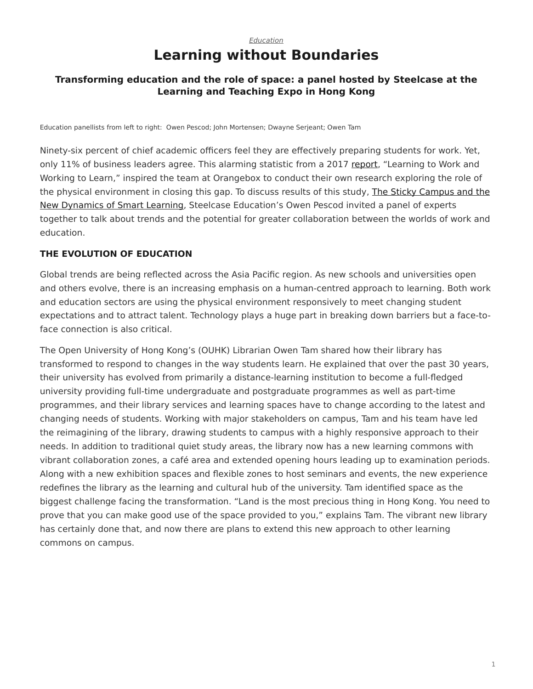# *[Education](https://www.steelcase.com/asia-en/research/topics/education/)* **Learning without Boundaries**

#### **Transforming education and the role of space: a panel hosted by Steelcase at the Learning and Teaching Expo in Hong Kong**

Education panellists from left to right: Owen Pescod; John Mortensen; Dwayne Serjeant; Owen Tam

Ninety-six percent of chief academic officers feel they are effectively preparing students for work. Yet, only 11% of business leaders agree. This alarming statistic from a 2017 [report](https://www.uschamberfoundation.org/reports/learning-work-working-learn), "Learning to Work and Working to Learn," inspired the team at Orangebox to conduct their own research exploring the role of the physical environment in closing this gap. To discuss results of this study, [The Sticky Campus and the](https://www.orangebox.com/collections?o=overlay/article/the-sticky-campus-and-the-new-dynamics-of-smartlearning) [New Dynamics of Smart Learning,](https://www.orangebox.com/collections?o=overlay/article/the-sticky-campus-and-the-new-dynamics-of-smartlearning) Steelcase Education's Owen Pescod invited a panel of experts together to talk about trends and the potential for greater collaboration between the worlds of work and education.

#### **THE EVOLUTION OF EDUCATION**

Global trends are being reflected across the Asia Pacific region. As new schools and universities open and others evolve, there is an increasing emphasis on a human-centred approach to learning. Both work and education sectors are using the physical environment responsively to meet changing student expectations and to attract talent. Technology plays a huge part in breaking down barriers but a face-toface connection is also critical.

The Open University of Hong Kong's (OUHK) Librarian Owen Tam shared how their library has transformed to respond to changes in the way students learn. He explained that over the past 30 years, their university has evolved from primarily a distance-learning institution to become a full-fledged university providing full-time undergraduate and postgraduate programmes as well as part-time programmes, and their library services and learning spaces have to change according to the latest and changing needs of students. Working with major stakeholders on campus, Tam and his team have led the reimagining of the library, drawing students to campus with a highly responsive approach to their needs. In addition to traditional quiet study areas, the library now has a new learning commons with vibrant collaboration zones, a café area and extended opening hours leading up to examination periods. Along with a new exhibition spaces and flexible zones to host seminars and events, the new experience redefines the library as the learning and cultural hub of the university. Tam identified space as the biggest challenge facing the transformation. "Land is the most precious thing in Hong Kong. You need to prove that you can make good use of the space provided to you," explains Tam. The vibrant new library has certainly done that, and now there are plans to extend this new approach to other learning commons on campus.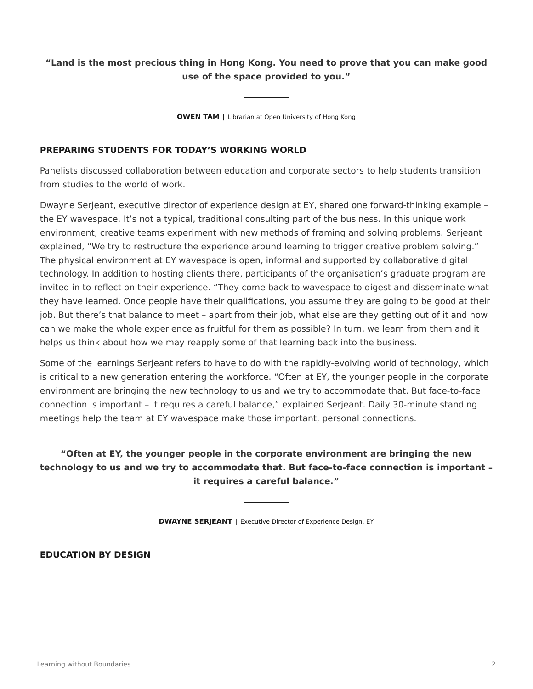### **"Land is the most precious thing in Hong Kong. You need to prove that you can make good use of the space provided to you."**

**OWEN TAM** | Librarian at Open University of Hong Kong

#### **PREPARING STUDENTS FOR TODAY'S WORKING WORLD**

Panelists discussed collaboration between education and corporate sectors to help students transition from studies to the world of work.

Dwayne Serjeant, executive director of experience design at EY, shared one forward-thinking example – the EY wavespace. It's not a typical, traditional consulting part of the business. In this unique work environment, creative teams experiment with new methods of framing and solving problems. Serjeant explained, "We try to restructure the experience around learning to trigger creative problem solving." The physical environment at EY wavespace is open, informal and supported by collaborative digital technology. In addition to hosting clients there, participants of the organisation's graduate program are invited in to reflect on their experience. "They come back to wavespace to digest and disseminate what they have learned. Once people have their qualifications, you assume they are going to be good at their job. But there's that balance to meet – apart from their job, what else are they getting out of it and how can we make the whole experience as fruitful for them as possible? In turn, we learn from them and it helps us think about how we may reapply some of that learning back into the business.

Some of the learnings Serjeant refers to have to do with the rapidly-evolving world of technology, which is critical to a new generation entering the workforce. "Often at EY, the younger people in the corporate environment are bringing the new technology to us and we try to accommodate that. But face-to-face connection is important – it requires a careful balance," explained Serjeant. Daily 30-minute standing meetings help the team at EY wavespace make those important, personal connections.

## **"Often at EY, the younger people in the corporate environment are bringing the new technology to us and we try to accommodate that. But face-to-face connection is important – it requires a careful balance."**

**DWAYNE SERJEANT** | Executive Director of Experience Design, EY

**EDUCATION BY DESIGN**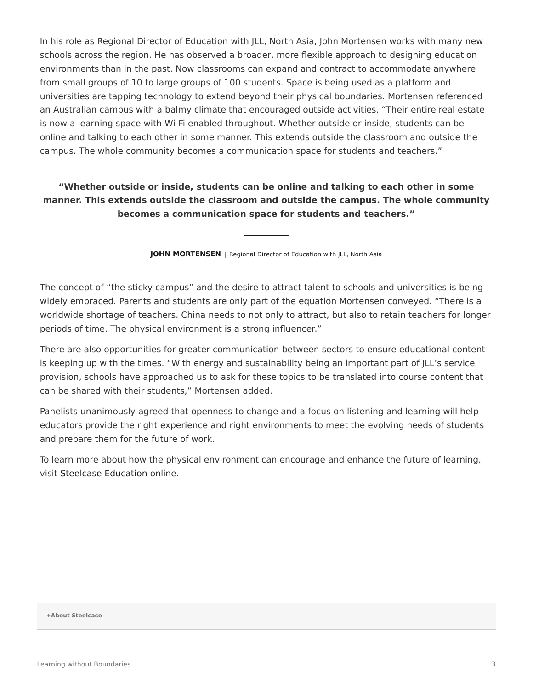In his role as Regional Director of Education with JLL, North Asia, John Mortensen works with many new schools across the region. He has observed a broader, more flexible approach to designing education environments than in the past. Now classrooms can expand and contract to accommodate anywhere from small groups of 10 to large groups of 100 students. Space is being used as a platform and universities are tapping technology to extend beyond their physical boundaries. Mortensen referenced an Australian campus with a balmy climate that encouraged outside activities, "Their entire real estate is now a learning space with Wi-Fi enabled throughout. Whether outside or inside, students can be online and talking to each other in some manner. This extends outside the classroom and outside the campus. The whole community becomes a communication space for students and teachers."

### **"Whether outside or inside, students can be online and talking to each other in some manner. This extends outside the classroom and outside the campus. The whole community becomes a communication space for students and teachers."**

**JOHN MORTENSEN** | Regional Director of Education with JLL, North Asia

The concept of "the sticky campus" and the desire to attract talent to schools and universities is being widely embraced. Parents and students are only part of the equation Mortensen conveyed. "There is a worldwide shortage of teachers. China needs to not only to attract, but also to retain teachers for longer periods of time. The physical environment is a strong influencer."

There are also opportunities for greater communication between sectors to ensure educational content is keeping up with the times. "With energy and sustainability being an important part of JLL's service provision, schools have approached us to ask for these topics to be translated into course content that can be shared with their students," Mortensen added.

Panelists unanimously agreed that openness to change and a focus on listening and learning will help educators provide the right experience and right environments to meet the evolving needs of students and prepare them for the future of work.

To learn more about how the physical environment can encourage and enhance the future of learning, visit [Steelcase Education](https://www.steelcase.com/asia-en/discover/information/education-professionals/) online.

**[+About Steelcase](https://www.steelcase.com/asia-en/about/steelcase/our-company/)**